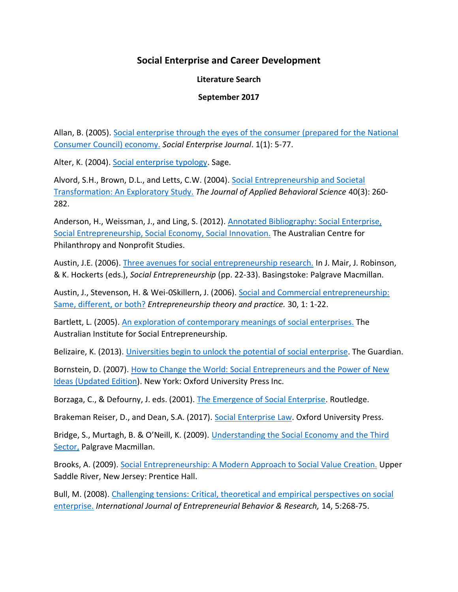## **Social Enterprise and Career Development**

**Literature Search**

**September 2017**

Allan, B. (2005). [Social enterprise through the eyes of the consumer \(prepared for the National](http://www.emeraldinsight.com/doi/abs/10.1108/17508610580000707)  [Consumer Council\) economy.](http://www.emeraldinsight.com/doi/abs/10.1108/17508610580000707) *Social Enterprise Journal*. 1(1): 5-77.

Alter, K. (2004). [Social enterprise typology.](http://www.academia.edu/5249856/Social_Enterprise_Typology_Updated_November_27_2007_Kim_Alter_Virtue_Ventures_LLC) Sage.

Alvord, S.H., Brown, D.L., and Letts, C.W. (2004). [Social Entrepreneurship and Societal](http://journals.sagepub.com/doi/abs/10.1177/0021886304266847)  [Transformation: An Exploratory Study.](http://journals.sagepub.com/doi/abs/10.1177/0021886304266847) *The Journal of Applied Behavioral Science* 40(3): 260- 282.

Anderson, H., Weissman, J., and Ling, S. (2012). [Annotated Bibliography: Social Enterprise,](http://static.placestories.com/pool/project/0001/0008485/docs/doc-5h.pdf)  [Social Entrepreneurship, Social Economy, Social Innovation.](http://static.placestories.com/pool/project/0001/0008485/docs/doc-5h.pdf) The Australian Centre for Philanthropy and Nonprofit Studies.

Austin, J.E. (2006). [Three avenues for social entrepreneurship research.](https://link.springer.com/chapter/10.1057/9780230625655_3) In J. Mair, J. Robinson, & K. Hockerts (eds.), *Social Entrepreneurship* (pp. 22-33). Basingstoke: Palgrave Macmillan.

Austin, J., Stevenson, H. & Wei-0Skillern, J. (2006). [Social and Commercial entrepreneurship:](http://www.scielo.br/pdf/rausp/v47n3/03.pdf)  [Same, different, or both?](http://www.scielo.br/pdf/rausp/v47n3/03.pdf) *Entrepreneurship theory and practice.* 30, 1: 1-22.

Bartlett, L. (2005). [An exploration of contemporary meanings of social enterprises.](https://www.researchgate.net/publication/251937174_An_Exploration_of_Contemporary_Meanings_of_Social_Enterprise1) The Australian Institute for Social Entrepreneurship.

Belizaire, K. (2013). [Universities begin to unlock the potential of social enterprise.](https://www.theguardian.com/social-enterprise-network/2013/jul/26/higher-education-social-enterprise-innovation) The Guardian.

Bornstein, D. (2007). How to Change the World: Social Entrepreneurs and the Power of New [Ideas \(Updated Edition\)](https://www.amazon.com/How-Change-World-Entrepreneurs-Updated/dp/0195334760). New York: Oxford University Press Inc.

Borzaga, C., & Defourny, J. eds. (2001). [The Emergence of Social Enterprise.](https://www.amazon.com/Emergence-Enterprise-Management-Non-Profit-Organizations/dp/0415339219) Routledge.

Brakeman Reiser, D., and Dean, S.A. (2017). [Social Enterprise Law.](https://global.oup.com/academic/product/social-enterprise-law-9780190249786?cc=us&lang=en&) Oxford University Press.

Bridge, S., Murtagh, B. & O'Neill, K. (2009). [Understanding the Social Economy and the Third](https://he.palgrave.com/page/detail/?sf1=barcode&st1=9781137005434)  [Sector,](https://he.palgrave.com/page/detail/?sf1=barcode&st1=9781137005434) Palgrave Macmillan.

Brooks, A. (2009). [Social Entrepreneurship: A Modern Approach to Social Value Creation.](https://www.amazon.com/Social-Entrepreneurship-Modern-Approach-Creation/dp/0132330768) Upper Saddle River, New Jersey: Prentice Hall.

Bull, M. (2008). [Challenging tensions: Critical, theoretical and empirical perspectives on social](https://www.deepdyve.com/lp/emerald-publishing/challenging-tensions-critical-theoretical-and-empirical-perspectives-TXt9E26ZA5)  [enterprise.](https://www.deepdyve.com/lp/emerald-publishing/challenging-tensions-critical-theoretical-and-empirical-perspectives-TXt9E26ZA5) *International Journal of Entrepreneurial Behavior & Research,* 14, 5:268-75.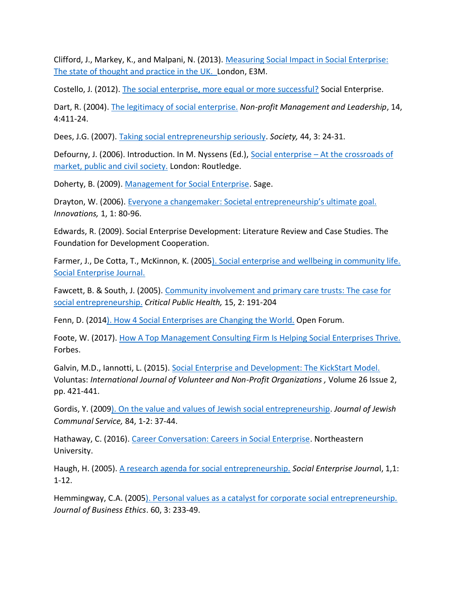Clifford, J., Markey, K., and Malpani, N. (2013). [Measuring Social Impact in Social Enterprise:](http://www.can-online.org.uk/uploads/editor/files/Invest/Measuring_Social_Impact_in_Social_Enterprise_report.pdf)  [The state of thought and practice in the UK.](http://www.can-online.org.uk/uploads/editor/files/Invest/Measuring_Social_Impact_in_Social_Enterprise_report.pdf) London, E3M.

Costello, J. (2012). [The social enterprise, more equal or more successful?](https://careergro.wordpress.com/2012/05/20/the-social-enterprise-more-equal-or-more-successful/) Social Enterprise.

Dart, R. (2004). [The legitimacy of social enterprise.](https://www.researchgate.net/publication/229968570_The_Legitimacy_of_Social_Enterprise) *Non-profit Management and Leadership*, 14, 4:411-24.

Dees, J.G. (2007). [Taking social entrepreneurship seriously.](http://connection.ebscohost.com/c/articles/23825345/taking-social-entrepreneurship-seriously) *Society,* 44, 3: 24-31.

Defourny, J. (2006). Introduction. In M. Nyssens (Ed.), Social enterprise – [At the crossroads of](https://www.scribd.com/document/278209371/M-Nyssens-Social-Enterprise)  [market, public and civil society.](https://www.scribd.com/document/278209371/M-Nyssens-Social-Enterprise) London: Routledge.

Doherty, B. (2009). [Management for Social Enterprise.](https://us.sagepub.com/en-us/nam/management-for-social-enterprise/book231926) Sage.

Drayton, W. (2006). [Everyone a changemaker: Societal entrepreneurship's ultimate goal.](https://issuu.com/ashokachangemakers/docs/everyone_a_changemaker-social_entre) *Innovations,* 1, 1: 80-96.

Edwards, R. (2009). Social Enterprise Development: Literature Review and Case Studies. The Foundation for Development Cooperation.

Farmer, J., De Cotta, T., McKinnon, K. (200[5\). Social enterprise and wellbeing in community life.](https://www.researchgate.net/publication/305092865_Social_enterprise_and_wellbeing_in_community_life)  [Social Enterprise Journal.](https://www.researchgate.net/publication/305092865_Social_enterprise_and_wellbeing_in_community_life)

Fawcett, B. & South, J. (2005). [Community involvement and primary care trusts: The case for](https://www.researchgate.net/publication/239314922_Community_involvement_and_Primary_Care_Trusts_The_case_for_social_entrepreneurship)  [social entrepreneurship.](https://www.researchgate.net/publication/239314922_Community_involvement_and_Primary_Care_Trusts_The_case_for_social_entrepreneurship) *Critical Public Health,* 15, 2: 191-204

Fenn, D. (201[4\). How 4 Social Enterprises are Changing the World.](https://www.americanexpress.com/us/small-business/openforum/articles/4-social-enterprises-changing-world/) Open Forum.

Foote, W. (2017). [How A Top Management Consulting Firm Is Helping Social Enterprises Thrive.](https://www.forbes.com/sites/willyfoote/2017/07/06/how-a-top-management-consulting-firm-is-helping-social-enterprises-thrive/#1344ebc823e5) Forbes.

Galvin, M.D., Iannotti, L. (2015). [Social Enterprise and Development: The KickStart Model.](https://link.springer.com/article/10.1007/s11266-013-9424-z) Voluntas: *International Journal of Volunteer and Non-Profit Organizations ,* Volume 26 Issue 2, pp. 421-441.

Gordis, Y. (200[9\). On the value and values of Jewish social entrepreneurship.](https://www.researchgate.net/publication/265243842_On_the_Value_and_Values_of_Jewish_Social_Entrepreneurship) *Journal of Jewish Communal Service,* 84, 1-2: 37-44.

Hathaway, C. (2016). [Career Conversation: Careers in Social Enterprise.](https://www.northeastern.edu/careers/2016/01/career-conversation-careers-in-social-enterprise/) Northeastern University.

Haugh, H. (2005). [A research agenda for social entrepreneurship.](https://www.researchgate.net/publication/235269277_A_Research_Agenda_for_Social_Entrepreneurship) *Social Enterprise Journa*l, 1,1: 1-12.

Hemmingway, C.A. (200[5\). Personal values as a catalyst for corporate social entrepreneurship.](https://link.springer.com/article/10.1007/s10551-005-0132-5) *Journal of Business Ethics*. 60, 3: 233-49.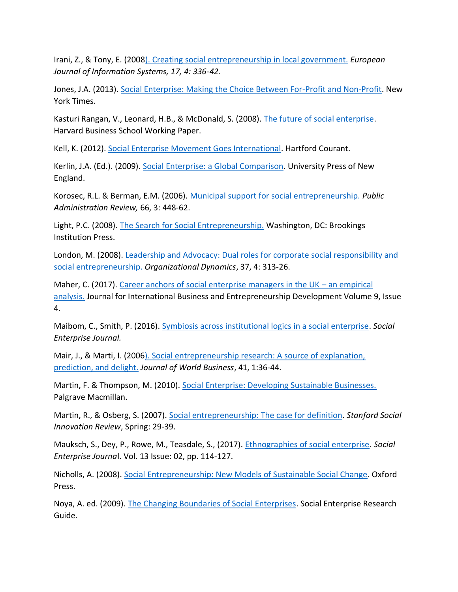Irani, Z., & Tony, E. (200[8\). Creating social entrepreneurship in local government.](https://link.springer.com/article/10.1057/ejis.2008.35) *European Journal of Information Systems, 17, 4: 336-42.*

Jones, J.A. (2013). [Social Enterprise: Making the Choice Between For-Profit and Non-Profit.](https://nonprofitquarterly.org/2013/07/17/social-enterprise-making-the-choice-between-for-profit-and-nonprofit/) New York Times.

Kasturi Rangan, V., Leonard, H.B., & McDonald, S. (2008). [The future of social enterprise.](http://hbswk.hbs.edu/item/the-future-of-social-enterprise) Harvard Business School Working Paper.

Kell, K. (2012)[. Social Enterprise Movement Goes International.](http://articles.courant.com/2012-09-25/community/hcrs-65675hc-farmington-valley-20120920_1_social-enterprise-social-entrepreneurship-reset) Hartford Courant.

Kerlin, J.A. (Ed.). (2009). [Social Enterprise: a Global Comparison.](https://books.google.ca/books/about/Social_Enterprise.html?id=525d-vWW6SYC&redir_esc=y) University Press of New England.

Korosec, R.L. & Berman, E.M. (2006). [Municipal support for social entrepreneurship.](http://onlinelibrary.wiley.com/doi/10.1111/j.1540-6210.2006.00601.x/abstract) *Public Administration Review,* 66, 3: 448-62.

Light, P.C. (2008). [The Search for Social Entrepreneurship.](http://onlinelibrary.wiley.com/doi/10.1111/j.1540-6210.2006.00601.x/abstract) Washington, DC: Brookings Institution Press.

London, M. (2008). [Leadership and Advocacy: Dual roles for corporate social responsibility and](https://www.deepdyve.com/lp/elsevier/leadership-and-advocacy-1m0PCXuFKw)  [social entrepreneurship.](https://www.deepdyve.com/lp/elsevier/leadership-and-advocacy-1m0PCXuFKw) *Organizational Dynamics*, 37, 4: 313-26.

Maher, C. (2017)[. Career anchors of social enterprise managers in the UK](http://www.inderscienceonline.com/doi/abs/10.1504/JIBED.2016.080019) – an empirical [analysis.](http://www.inderscienceonline.com/doi/abs/10.1504/JIBED.2016.080019) Journal for International Business and Entrepreneurship Development Volume 9, Issue 4.

Maibom, C., Smith, P. (2016). [Symbiosis across institutional logics in a social enterprise.](https://www.researchgate.net/publication/311322348_Symbiosis_across_institutional_logics_in_a_social_enterprise) *Social Enterprise Journal.*

Mair, J., & Marti, I. (200[6\). Social entrepreneurship research: A source of explanation,](http://www.sciencedirect.com/science/article/pii/S1090951605000544)  [prediction, and delight.](http://www.sciencedirect.com/science/article/pii/S1090951605000544) *Journal of World Business*, 41, 1:36-44.

Martin, F. & Thompson, M. (2010). [Social Enterprise: Developing Sustainable Businesses.](https://www.amazon.co.uk/Social-Enterprise-Developing-Sustainable-Businesses/dp/0230203728) Palgrave Macmillan.

Martin, R., & Osberg, S. (2007). [Social entrepreneurship: The case for definition.](https://ssir.org/articles/entry/social_entrepreneurship_the_case_for_definition) *Stanford Social Innovation Review*, Spring: 29-39.

Mauksch, S., Dey, P., Rowe, M., Teasdale, S., (2017). [Ethnographies of social enterprise.](https://livrepository.liverpool.ac.uk/3006213/) *Social Enterprise Journa*l. Vol. 13 Issue: 02, pp. 114-127.

Nicholls, A. (2008). [Social Entrepreneurship: New Models](https://www.amazon.com/Social-Entrepreneurship-Models-Sustainable-Change/dp/0199283885) of Sustainable Social Change. Oxford Press.

Noya, A. ed. (2009). [The Changing Boundaries of Social Enterprises.](http://www.oecd-ilibrary.org/employment/the-changing-boundaries-of-social-enterprises_9789264055513-en) Social Enterprise Research Guide.